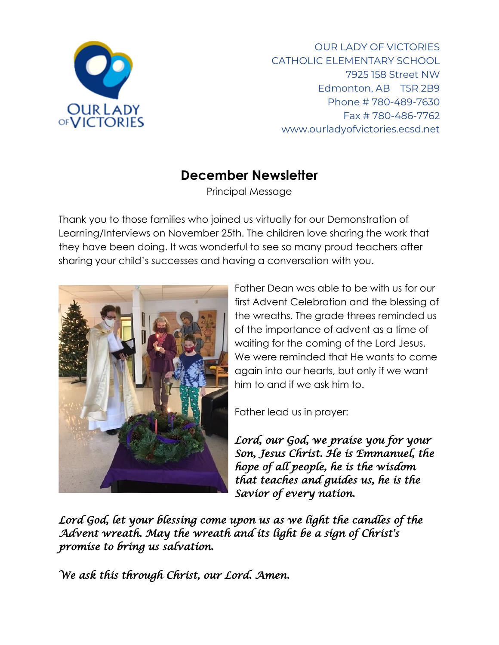

OUR LADY OF VICTORIES CATHOLIC ELEMENTARY SCHOOL 7925 158 Street NW Edmonton, AB T5R 2B9 Phone # 780-489-7630 Fax # 780-486-7762 www.ourladyofvictories.ecsd.net

# **December Newsletter**

Principal Message

Thank you to those families who joined us virtually for our Demonstration of Learning/Interviews on November 25th. The children love sharing the work that they have been doing. It was wonderful to see so many proud teachers after sharing your child's successes and having a conversation with you.



Father Dean was able to be with us for our first Advent Celebration and the blessing of the wreaths. The grade threes reminded us of the importance of advent as a time of waiting for the coming of the Lord Jesus. We were reminded that He wants to come again into our hearts, but only if we want him to and if we ask him to.

Father lead us in prayer:

*Lord, our God, we praise you for your Son, Jesus Christ. He is Emmanuel, the hope of all people, he is the wisdom that teaches and guides us, he is the Savior of every nation.*

*Lord God, let your blessing come upon us as we light the candles of the Advent wreath. May the wreath and its light be a sign of Christ's promise to bring us salvation.*

*We ask this through Christ, our Lord. Amen.*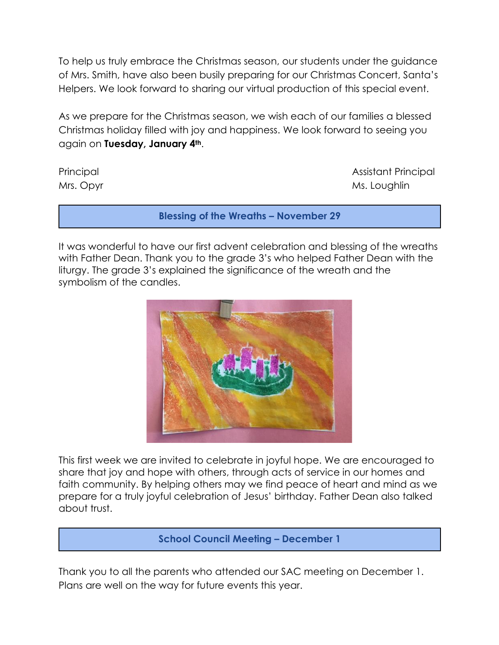To help us truly embrace the Christmas season, our students under the guidance of Mrs. Smith, have also been busily preparing for our Christmas Concert, Santa's Helpers. We look forward to sharing our virtual production of this special event.

As we prepare for the Christmas season, we wish each of our families a blessed Christmas holiday filled with joy and happiness. We look forward to seeing you again on **Tuesday, January 4th**.

Principal Assistant Principal Assistant Principal Assistant Principal Assistant Principal Assistant Principal Mrs. Opyr Mrs. Coughlin

**Blessing of the Wreaths – November 29**

It was wonderful to have our first advent celebration and blessing of the wreaths with Father Dean. Thank you to the grade 3's who helped Father Dean with the liturgy. The grade 3's explained the significance of the wreath and the symbolism of the candles.



This first week we are invited to celebrate in joyful hope. We are encouraged to share that joy and hope with others, through acts of service in our homes and faith community. By helping others may we find peace of heart and mind as we prepare for a truly joyful celebration of Jesus' birthday. Father Dean also talked about trust.

**School Council Meeting – December 1**

Thank you to all the parents who attended our SAC meeting on December 1. Plans are well on the way for future events this year.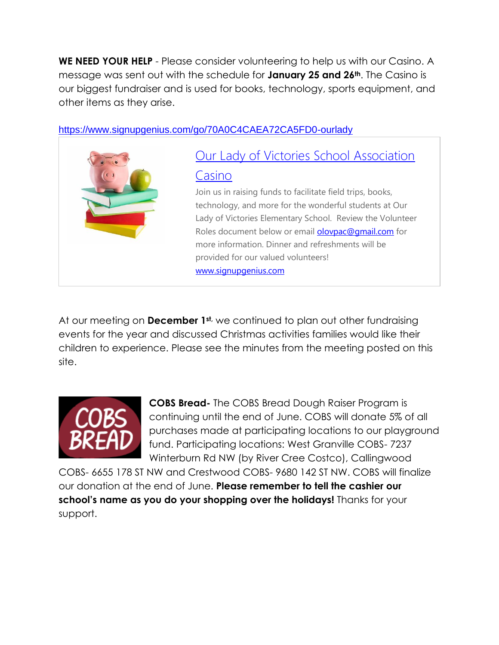**WE NEED YOUR HELP** - Please consider volunteering to help us with our Casino. A message was sent out with the schedule for **January 25 and 26th**. The Casino is our biggest fundraiser and is used for books, technology, sports equipment, and other items as they arise.

### [https://www.signupgenius.com/go/70A0C4CAEA72CA5FD0-ourlady](https://can01.safelinks.protection.outlook.com/?url=https%3A%2F%2Fwww.signupgenius.com%2Fgo%2F70A0C4CAEA72CA5FD0-ourlady&data=04%7C01%7CPatricia.Opyr%40ecsd.net%7C399bfa6652954eed401208d9aa266333%7Cb18d9f6f0743460da19b0b3297eeeb89%7C0%7C0%7C637727904125726395%7CUnknown%7CTWFpbGZsb3d8eyJWIjoiMC4wLjAwMDAiLCJQIjoiV2luMzIiLCJBTiI6Ik1haWwiLCJXVCI6Mn0%3D%7C3000&sdata=I%2FQCxsC4H9NoqJpP1pO%2B6PePiTHk%2B3vBdvg9AKadHz8%3D&reserved=0)



# [Our Lady of Victories School Association](https://can01.safelinks.protection.outlook.com/?url=https%3A%2F%2Fwww.signupgenius.com%2Fgo%2F70A0C4CAEA72CA5FD0-ourlady&data=04%7C01%7CPatricia.Opyr%40ecsd.net%7C399bfa6652954eed401208d9aa266333%7Cb18d9f6f0743460da19b0b3297eeeb89%7C0%7C0%7C637727904125736347%7CUnknown%7CTWFpbGZsb3d8eyJWIjoiMC4wLjAwMDAiLCJQIjoiV2luMzIiLCJBTiI6Ik1haWwiLCJXVCI6Mn0%3D%7C3000&sdata=UL7tIzU9g0dwNJVGVvIrFoyEBgr1E6PqgI8Qgf8R5oU%3D&reserved=0)  [Casino](https://can01.safelinks.protection.outlook.com/?url=https%3A%2F%2Fwww.signupgenius.com%2Fgo%2F70A0C4CAEA72CA5FD0-ourlady&data=04%7C01%7CPatricia.Opyr%40ecsd.net%7C399bfa6652954eed401208d9aa266333%7Cb18d9f6f0743460da19b0b3297eeeb89%7C0%7C0%7C637727904125736347%7CUnknown%7CTWFpbGZsb3d8eyJWIjoiMC4wLjAwMDAiLCJQIjoiV2luMzIiLCJBTiI6Ik1haWwiLCJXVCI6Mn0%3D%7C3000&sdata=UL7tIzU9g0dwNJVGVvIrFoyEBgr1E6PqgI8Qgf8R5oU%3D&reserved=0)

Join us in raising funds to facilitate field trips, books, technology, and more for the wonderful students at Our Lady of Victories Elementary School. Review the Volunteer Roles document below or email [olovpac@gmail.com](mailto:olovpac@gmail.com) for more information. Dinner and refreshments will be provided for our valued volunteers! [www.signupgenius.com](http://www.signupgenius.com/)

At our meeting on **December 1st,** we continued to plan out other fundraising events for the year and discussed Christmas activities families would like their children to experience. Please see the minutes from the meeting posted on this site.



**COBS Bread-** The COBS Bread Dough Raiser Program is continuing until the end of June. COBS will donate 5% of all purchases made at participating locations to our playground fund. Participating locations: West Granville COBS- 7237 Winterburn Rd NW (by River Cree Costco), Callingwood

COBS- 6655 178 ST NW and Crestwood COBS- 9680 142 ST NW. COBS will finalize our donation at the end of June. **Please remember to tell the cashier our school's name as you do your shopping over the holidays!** Thanks for your support.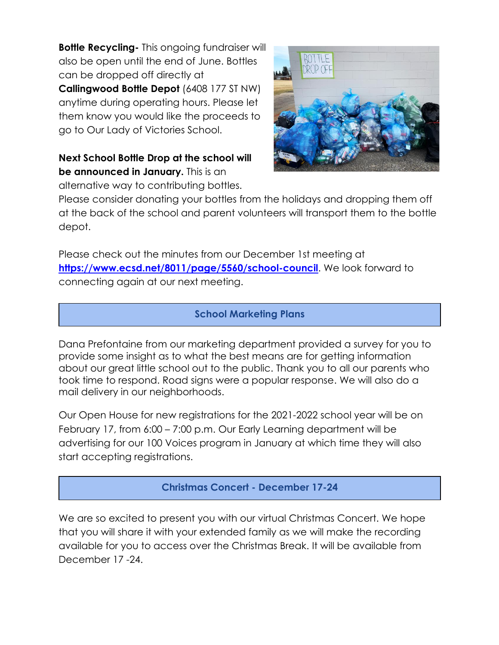**Bottle Recycling-** This ongoing fundraiser will also be open until the end of June. Bottles can be dropped off directly at **Callingwood Bottle Depot** (6408 177 ST NW) anytime during operating hours. Please let them know you would like the proceeds to go to Our Lady of Victories School.

**Next School Bottle Drop at the school will be announced in January.** This is an alternative way to contributing bottles.



Please consider donating your bottles from the holidays and dropping them off at the back of the school and parent volunteers will transport them to the bottle depot.

Please check out the minutes from our December 1st meeting at **<https://www.ecsd.net/8011/page/5560/school-council>**. We look forward to connecting again at our next meeting.

### **School Marketing Plans**

Dana Prefontaine from our marketing department provided a survey for you to provide some insight as to what the best means are for getting information about our great little school out to the public. Thank you to all our parents who took time to respond. Road signs were a popular response. We will also do a mail delivery in our neighborhoods.

Our Open House for new registrations for the 2021-2022 school year will be on February 17, from 6:00 – 7:00 p.m. Our Early Learning department will be advertising for our 100 Voices program in January at which time they will also start accepting registrations.

**Christmas Concert - December 17-24**

We are so excited to present you with our virtual Christmas Concert. We hope that you will share it with your extended family as we will make the recording available for you to access over the Christmas Break. It will be available from December 17 -24.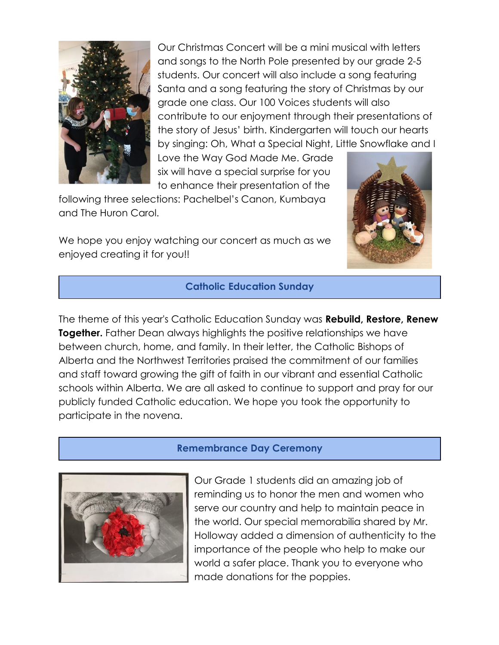

Our Christmas Concert will be a mini musical with letters and songs to the North Pole presented by our grade 2-5 students. Our concert will also include a song featuring Santa and a song featuring the story of Christmas by our grade one class. Our 100 Voices students will also contribute to our enjoyment through their presentations of the story of Jesus' birth. Kindergarten will touch our hearts by singing: Oh, What a Special Night, Little Snowflake and I

Love the Way God Made Me. Grade six will have a special surprise for you to enhance their presentation of the

following three selections: Pachelbel's Canon, Kumbaya and The Huron Carol.



We hope you enjoy watching our concert as much as we enjoyed creating it for you!!

#### **Catholic Education Sunday**

The theme of this year's Catholic Education Sunday was **Rebuild, Restore, Renew Together.** Father Dean always highlights the positive relationships we have between church, home, and family. In their letter, the Catholic Bishops of Alberta and the Northwest Territories praised the commitment of our families and staff toward growing the gift of faith in our vibrant and essential Catholic schools within Alberta. We are all asked to continue to support and pray for our publicly funded Catholic education. We hope you took the opportunity to participate in the novena.

#### **Remembrance Day Ceremony**



Our Grade 1 students did an amazing job of reminding us to honor the men and women who serve our country and help to maintain peace in the world. Our special memorabilia shared by Mr. Holloway added a dimension of authenticity to the importance of the people who help to make our world a safer place. Thank you to everyone who made donations for the poppies.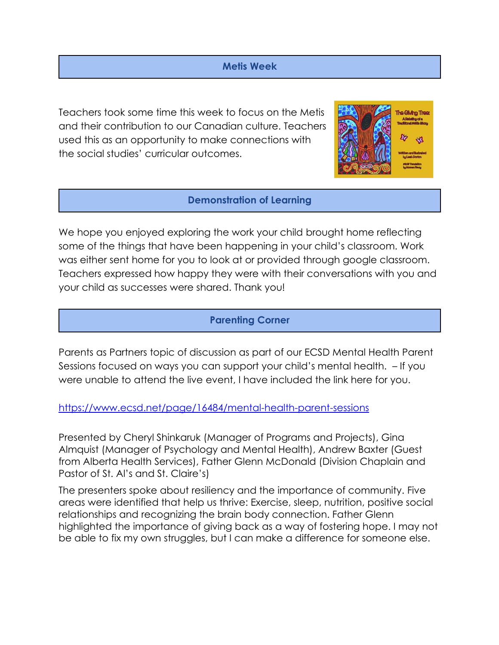#### **Metis Week**

Teachers took some time this week to focus on the Metis and their contribution to our Canadian culture. Teachers used this as an opportunity to make connections with the social studies' curricular outcomes.



**Demonstration of Learning**

We hope you enjoyed exploring the work your child brought home reflecting some of the things that have been happening in your child's classroom. Work was either sent home for you to look at or provided through google classroom. Teachers expressed how happy they were with their conversations with you and your child as successes were shared. Thank you!

#### **Parenting Corner**

Parents as Partners topic of discussion as part of our ECSD Mental Health Parent Sessions focused on ways you can support your child's mental health. – If you were unable to attend the live event, I have included the link here for you.

#### <https://www.ecsd.net/page/16484/mental-health-parent-sessions>

Presented by Cheryl Shinkaruk (Manager of Programs and Projects), Gina Almquist (Manager of Psychology and Mental Health), Andrew Baxter (Guest from Alberta Health Services), Father Glenn McDonald (Division Chaplain and Pastor of St. Al's and St. Claire's)

The presenters spoke about resiliency and the importance of community. Five areas were identified that help us thrive: Exercise, sleep, nutrition, positive social relationships and recognizing the brain body connection. Father Glenn highlighted the importance of giving back as a way of fostering hope. I may not be able to fix my own struggles, but I can make a difference for someone else.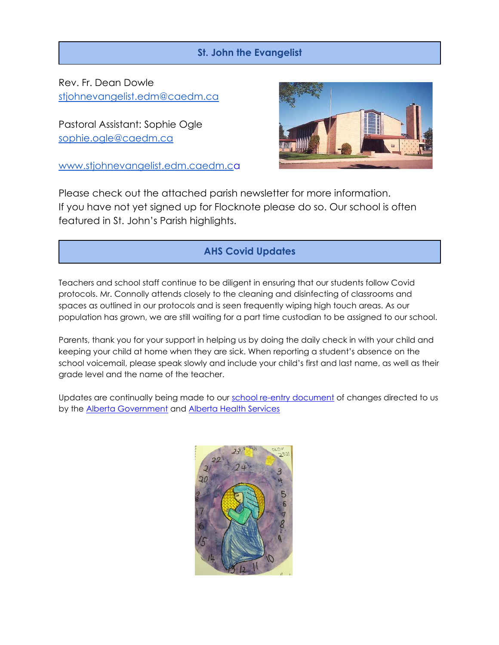#### **St. John the Evangelist**

Rev. Fr. Dean Dowle [stjohnevangelist.edm@caedm.ca](mailto:stjohnevangelist.edm@caedm.ca)

Pastoral Assistant: Sophie Ogle [sophie.ogle@caedm.ca](mailto:sophie.ogle@caedm.ca)

[www.stjohnevangelist.edm.caedm.ca](http://www.stjohnevangelist.edm.caedm.ca/)



Please check out the attached parish newsletter for more information. If you have not yet signed up for Flocknote please do so. Our school is often featured in St. John's Parish highlights.

# **AHS Covid Updates**

Teachers and school staff continue to be diligent in ensuring that our students follow Covid protocols. Mr. Connolly attends closely to the cleaning and disinfecting of classrooms and spaces as outlined in our protocols and is seen frequently wiping high touch areas. As our population has grown, we are still waiting for a part time custodian to be assigned to our school.

Parents, thank you for your support in helping us by doing the daily check in with your child and keeping your child at home when they are sick. When reporting a student's absence on the school voicemail, please speak slowly and include your child's first and last name, as well as their grade level and the name of the teacher.

Updates are continually being made to our [school re-entry document](https://www.ecsd.net/page/7013/back-to-school-plan-for-the-2021-2022-school-year) of changes directed to us by the [Alberta Government](https://open.alberta.ca/dataset/13d2242a-d310-419e-960c-6fe273d0f7b3/resource/e5305366-17e9-4507-9487-8aa5afcd72f2/download/edc-school-year-plan-2021-2022.pdf) and [Alberta Health Services](https://open.alberta.ca/dataset/0721a26b-c4ce-4345-971f-4ff9da32052c/resource/328bf258-bb1a-459b-b705-16b525390240/download/health-guidance-respiratory-illness-prevention-and-management-in-schools.pdf)